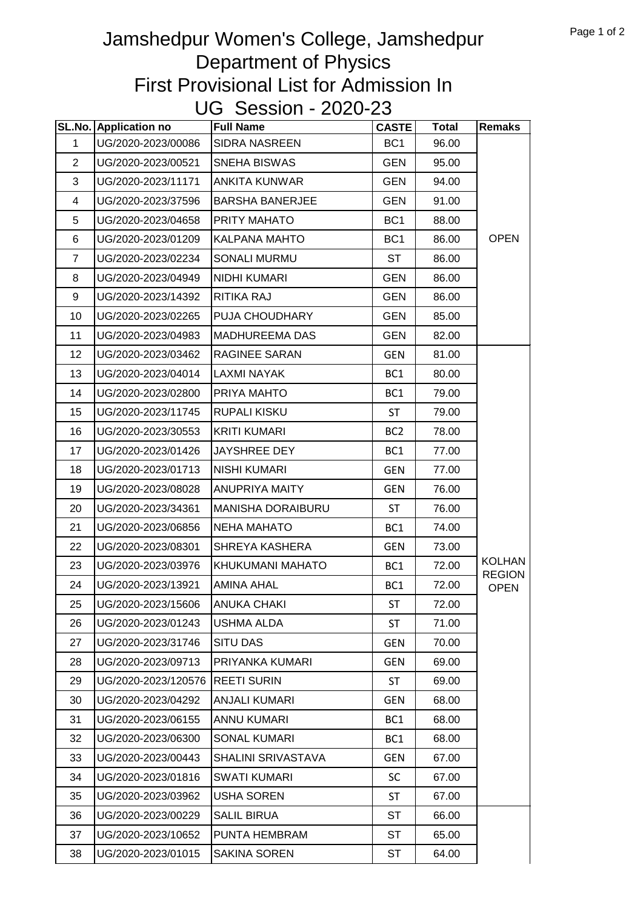## Jamshedpur Women's College, Jamshedpur Department of Physics First Provisional List for Admission In UG Session - 2020-23

|                | SL.No. Application no | <b>Full Name</b>         | CASTE           | <b>Total</b> | <b>Remaks</b>                |
|----------------|-----------------------|--------------------------|-----------------|--------------|------------------------------|
| 1              | UG/2020-2023/00086    | <b>SIDRA NASREEN</b>     | BC <sub>1</sub> | 96.00        |                              |
| $\overline{2}$ | UG/2020-2023/00521    | SNEHA BISWAS             | <b>GEN</b>      | 95.00        |                              |
| 3              | UG/2020-2023/11171    | <b>ANKITA KUNWAR</b>     | <b>GEN</b>      | 94.00        |                              |
| 4              | UG/2020-2023/37596    | <b>BARSHA BANERJEE</b>   | <b>GEN</b>      | 91.00        |                              |
| 5              | UG/2020-2023/04658    | PRITY MAHATO             | BC <sub>1</sub> | 88.00        |                              |
| 6              | UG/2020-2023/01209    | <b>KALPANA MAHTO</b>     | BC <sub>1</sub> | 86.00        | <b>OPEN</b>                  |
| $\overline{7}$ | UG/2020-2023/02234    | SONALI MURMU             | ST              | 86.00        |                              |
| 8              | UG/2020-2023/04949    | <b>NIDHI KUMARI</b>      | <b>GEN</b>      | 86.00        |                              |
| 9              | UG/2020-2023/14392    | RITIKA RAJ               | <b>GEN</b>      | 86.00        |                              |
| 10             | UG/2020-2023/02265    | PUJA CHOUDHARY           | <b>GEN</b>      | 85.00        |                              |
| 11             | UG/2020-2023/04983    | <b>MADHUREEMA DAS</b>    | <b>GEN</b>      | 82.00        |                              |
| 12             | UG/2020-2023/03462    | RAGINEE SARAN            | <b>GEN</b>      | 81.00        |                              |
| 13             | UG/2020-2023/04014    | <b>LAXMI NAYAK</b>       | BC <sub>1</sub> | 80.00        |                              |
| 14             | UG/2020-2023/02800    | PRIYA MAHTO              | BC1             | 79.00        |                              |
| 15             | UG/2020-2023/11745    | <b>RUPALI KISKU</b>      | <b>ST</b>       | 79.00        |                              |
| 16             | UG/2020-2023/30553    | <b>KRITI KUMARI</b>      | BC <sub>2</sub> | 78.00        |                              |
| 17             | UG/2020-2023/01426    | JAYSHREE DEY             | BC <sub>1</sub> | 77.00        |                              |
| 18             | UG/2020-2023/01713    | <b>NISHI KUMARI</b>      | <b>GEN</b>      | 77.00        |                              |
| 19             | UG/2020-2023/08028    | <b>ANUPRIYA MAITY</b>    | <b>GEN</b>      | 76.00        |                              |
| 20             | UG/2020-2023/34361    | <b>MANISHA DORAIBURU</b> | <b>ST</b>       | 76.00        |                              |
| 21             | UG/2020-2023/06856    | <b>NEHA MAHATO</b>       | BC <sub>1</sub> | 74.00        |                              |
| 22             | UG/2020-2023/08301    | SHREYA KASHERA           | <b>GEN</b>      | 73.00        |                              |
| 23             | UG/2020-2023/03976    | KHUKUMANI MAHATO         | BC1             | 72.00        | <b>KOLHAN</b>                |
| 24             | UG/2020-2023/13921    | <b>AMINA AHAL</b>        | BC1             | 72.00        | <b>REGION</b><br><b>OPEN</b> |
| 25             | UG/2020-2023/15606    | <b>ANUKA CHAKI</b>       | ST              | 72.00        |                              |
| 26             | UG/2020-2023/01243    | USHMA ALDA               | ST              | 71.00        |                              |
| 27             | UG/2020-2023/31746    | <b>SITU DAS</b>          | GEN             | 70.00        |                              |
| 28             | UG/2020-2023/09713    | PRIYANKA KUMARI          | <b>GEN</b>      | 69.00        |                              |
| 29             | UG/2020-2023/120576   | <b>REETI SURIN</b>       | <b>ST</b>       | 69.00        |                              |
| 30             | UG/2020-2023/04292    | <b>ANJALI KUMARI</b>     | <b>GEN</b>      | 68.00        |                              |
| 31             | UG/2020-2023/06155    | <b>ANNU KUMARI</b>       | BC1             | 68.00        |                              |
| 32             | UG/2020-2023/06300    | <b>SONAL KUMARI</b>      | BC <sub>1</sub> | 68.00        |                              |
| 33             | UG/2020-2023/00443    | SHALINI SRIVASTAVA       | <b>GEN</b>      | 67.00        |                              |
| 34             | UG/2020-2023/01816    | <b>SWATI KUMARI</b>      | <b>SC</b>       | 67.00        |                              |
| 35             | UG/2020-2023/03962    | <b>USHA SOREN</b>        | <b>ST</b>       | 67.00        |                              |
| 36             | UG/2020-2023/00229    | <b>SALIL BIRUA</b>       | <b>ST</b>       | 66.00        |                              |
| 37             | UG/2020-2023/10652    | PUNTA HEMBRAM            | ST              | 65.00        |                              |
| 38             | UG/2020-2023/01015    | <b>SAKINA SOREN</b>      | ST              | 64.00        |                              |